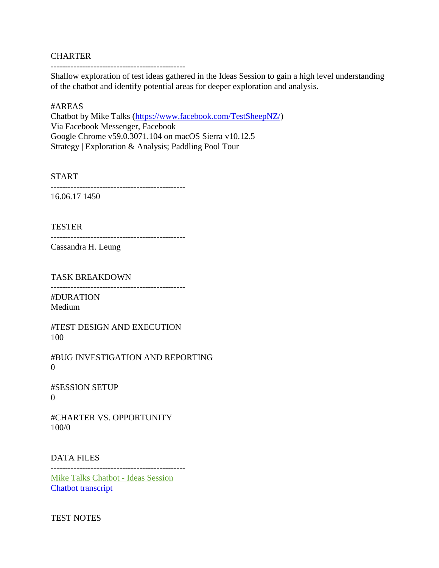## **CHARTER**

-----------------------------------------------

Shallow exploration of test ideas gathered in the Ideas Session to gain a high level understanding of the chatbot and identify potential areas for deeper exploration and analysis.

## #AREAS

Chatbot by Mike Talks [\(https://www.facebook.com/TestSheepNZ/\)](https://www.facebook.com/TestSheepNZ/) Via Facebook Messenger, Facebook Google Chrome v59.0.3071.104 on macOS Sierra v10.12.5 Strategy | Exploration & Analysis; Paddling Pool Tour

START

-----------------------------------------------

16.06.17 1450

TESTER

-----------------------------------------------

Cassandra H. Leung

TASK BREAKDOWN

-----------------------------------------------

#DURATION Medium

#TEST DESIGN AND EXECUTION 100

#BUG INVESTIGATION AND REPORTING 0

#SESSION SETUP  $\Omega$ 

#CHARTER VS. OPPORTUNITY 100/0

DATA FILES

-----------------------------------------------

[Mike Talks Chatbot -](http://www.cassandrahl.com/wp-content/uploads/2017/07/Mike-Talks-Chatbot-Ideas-Session.pdf) Ideas Session [Chatbot transcript](http://www.cassandrahl.com/wp-content/uploads/2017/07/Chatbot-Transcript-Cassandra.pdf)

TEST NOTES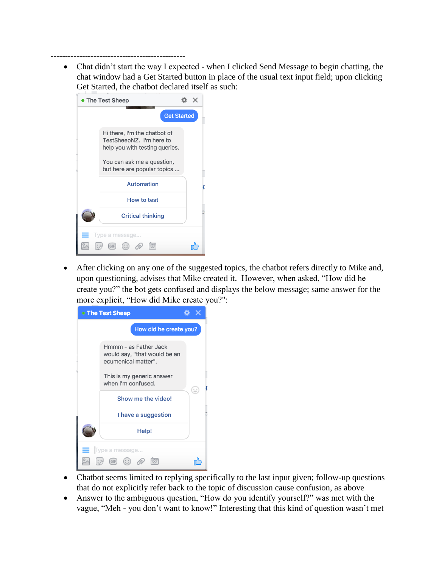-----------------------------------------------

• Chat didn't start the way I expected - when I clicked Send Message to begin chatting, the chat window had a Get Started button in place of the usual text input field; upon clicking Get Started, the chatbot declared itself as such:

| • The Test Sheep |                                                                                                                                                         |  |
|------------------|---------------------------------------------------------------------------------------------------------------------------------------------------------|--|
|                  | <b>Get Started</b>                                                                                                                                      |  |
|                  | Hi there, I'm the chatbot of<br>TestSheepNZ. I'm here to<br>help you with testing queries.<br>You can ask me a question,<br>but here are popular topics |  |
|                  | <b>Automation</b>                                                                                                                                       |  |
|                  | How to test                                                                                                                                             |  |
|                  | <b>Critical thinking</b>                                                                                                                                |  |
|                  | Type a message                                                                                                                                          |  |
|                  | (G F)                                                                                                                                                   |  |

• After clicking on any one of the suggested topics, the chatbot refers directly to Mike and, upon questioning, advises that Mike created it. However, when asked, "How did he create you?" the bot gets confused and displays the below message; same answer for the more explicit, "How did Mike create you?":

| <b>The Test Sheep</b> |                                                                                                                                 |   |
|-----------------------|---------------------------------------------------------------------------------------------------------------------------------|---|
|                       | How did he create you?                                                                                                          |   |
|                       | Hmmm - as Father Jack<br>would say, "that would be an<br>ecumenical matter".<br>This is my generic answer<br>when I'm confused. |   |
|                       | Show me the video!                                                                                                              | ۳ |
|                       | I have a suggestion                                                                                                             |   |
|                       | Help!                                                                                                                           |   |
|                       | Type a message                                                                                                                  |   |
|                       | $(GIF)$ $(\bigcup$                                                                                                              |   |

- Chatbot seems limited to replying specifically to the last input given; follow-up questions that do not explicitly refer back to the topic of discussion cause confusion, as above
- Answer to the ambiguous question, "How do you identify yourself?" was met with the vague, "Meh - you don't want to know!" Interesting that this kind of question wasn't met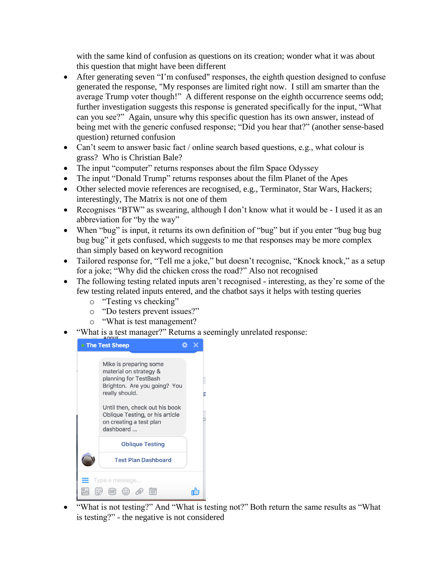with the same kind of confusion as questions on its creation; wonder what it was about this question that might have been different

- After generating seven "I'm confused" responses, the eighth question designed to confuse generated the response, "My responses are limited right now. I still am smarter than the average Trump voter though!" A different response on the eighth occurrence seems odd; further investigation suggests this response is generated specifically for the input, "What can you see?" Again, unsure why this specific question has its own answer, instead of being met with the generic confused response; "Did you hear that?" (another sense-based question) returned confusion
- Can't seem to answer basic fact / online search based questions, e.g., what colour is grass? Who is Christian Bale?
- The input "computer" returns responses about the film Space Odyssey
- The input "Donald Trump" returns responses about the film Planet of the Apes
- Other selected movie references are recognised, e.g., Terminator, Star Wars, Hackers; interestingly, The Matrix is not one of them
- Recognises "BTW" as swearing, although I don't know what it would be I used it as an abbreviation for "by the way"
- When "bug" is input, it returns its own definition of "bug" but if you enter "bug bug bug bug bug" it gets confused, which suggests to me that responses may be more complex than simply based on keyword recognition
- Tailored response for, "Tell me a joke," but doesn't recognise, "Knock knock," as a setup for a joke; "Why did the chicken cross the road?" Also not recognised
- The following testing related inputs aren't recognised interesting, as they're some of the few testing related inputs entered, and the chatbot says it helps with testing queries
	- o "Testing vs checking"
	- o "Do testers prevent issues?"
	- o "What is test management?
- "What is a test manager?" Returns a seemingly unrelated response:



• "What is not testing?" And "What is testing not?" Both return the same results as "What is testing?" - the negative is not considered